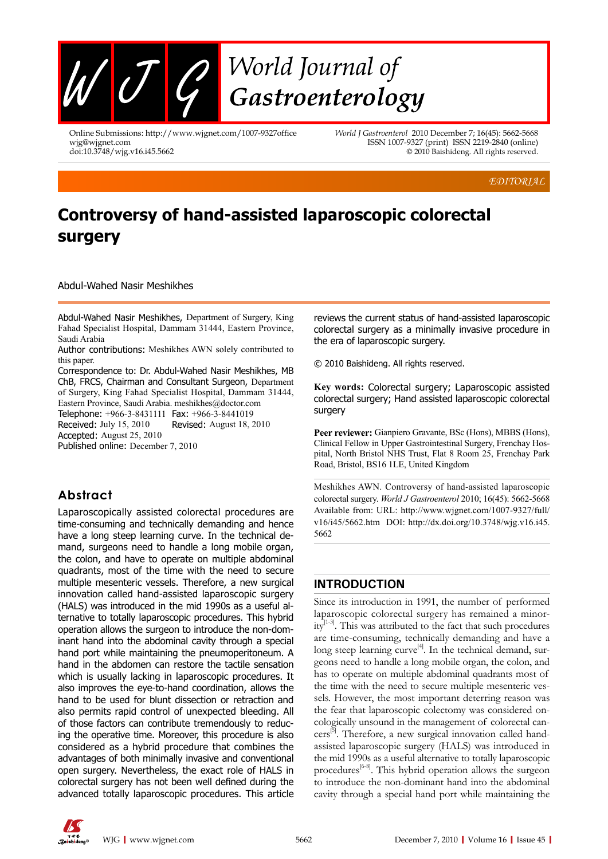

Online Submissions: http://www.wjgnet.com/1007-9327office wjg@wjgnet.com doi:10.3748/wjg.v16.i45.5662

*World J Gastroenterol* 2010 December 7; 16(45): 5662-5668 ISSN 1007-9327 (print) ISSN 2219-2840 (online) © 2010 Baishideng. All rights reserved.

*EDITORIAL*

# **Controversy of hand-assisted laparoscopic colorectal surgery**

Abdul-Wahed Nasir Meshikhes

Abdul-Wahed Nasir Meshikhes, Department of Surgery, King Fahad Specialist Hospital, Dammam 31444, Eastern Province, Saudi Arabia

Author contributions: Meshikhes AWN solely contributed to this paper.

Correspondence to: Dr. Abdul-Wahed Nasir Meshikhes, MB ChB, FRCS, Chairman and Consultant Surgeon, Department of Surgery, King Fahad Specialist Hospital, Dammam 31444, Eastern Province, Saudi Arabia. meshikhes@doctor.com

Telephone: +966-3-8431111 Fax: +966-3-8441019 Received: July 15, 2010 Revised: August 18, 2010

Accepted: August 25, 2010

Published online: December 7, 2010

### **Abstract**

Laparoscopically assisted colorectal procedures are time-consuming and technically demanding and hence have a long steep learning curve. In the technical demand, surgeons need to handle a long mobile organ, the colon, and have to operate on multiple abdominal quadrants, most of the time with the need to secure multiple mesenteric vessels. Therefore, a new surgical innovation called hand-assisted laparoscopic surgery (HALS) was introduced in the mid 1990s as a useful alternative to totally laparoscopic procedures. This hybrid operation allows the surgeon to introduce the non-dominant hand into the abdominal cavity through a special hand port while maintaining the pneumoperitoneum. A hand in the abdomen can restore the tactile sensation which is usually lacking in laparoscopic procedures. It also improves the eye-to-hand coordination, allows the hand to be used for blunt dissection or retraction and also permits rapid control of unexpected bleeding. All of those factors can contribute tremendously to reducing the operative time. Moreover, this procedure is also considered as a hybrid procedure that combines the advantages of both minimally invasive and conventional open surgery. Nevertheless, the exact role of HALS in colorectal surgery has not been well defined during the advanced totally laparoscopic procedures. This article

reviews the current status of hand-assisted laparoscopic colorectal surgery as a minimally invasive procedure in the era of laparoscopic surgery.

© 2010 Baishideng. All rights reserved.

**Key words:** Colorectal surgery; Laparoscopic assisted colorectal surgery; Hand assisted laparoscopic colorectal surgery

**Peer reviewer:** Gianpiero Gravante, BSc (Hons), MBBS (Hons), Clinical Fellow in Upper Gastrointestinal Surgery, Frenchay Hospital, North Bristol NHS Trust, Flat 8 Room 25, Frenchay Park Road, Bristol, BS16 1LE, United Kingdom

Meshikhes AWN. Controversy of hand-assisted laparoscopic colorectal surgery. *World J Gastroenterol* 2010; 16(45): 5662-5668 Available from: URL: http://www.wjgnet.com/1007-9327/full/ v16/i45/5662.htm DOI: http://dx.doi.org/10.3748/wjg.v16.i45. 5662

#### **INTRODUCTION**

Since its introduction in 1991, the number of performed laparoscopic colorectal surgery has remained a minority[1-3]. This was attributed to the fact that such procedures are time-consuming, technically demanding and have a long steep learning curve<sup>[4]</sup>. In the technical demand, surgeons need to handle a long mobile organ, the colon, and has to operate on multiple abdominal quadrants most of the time with the need to secure multiple mesenteric vessels. However, the most important deterring reason was the fear that laparoscopic colectomy was considered oncologically unsound in the management of colorectal can $cers^{[5]}$ . Therefore, a new surgical innovation called handassisted laparoscopic surgery (HALS) was introduced in the mid 1990s as a useful alternative to totally laparoscopic procedures<sup>[6-8]</sup>. This hybrid operation allows the surgeon to introduce the non-dominant hand into the abdominal cavity through a special hand port while maintaining the

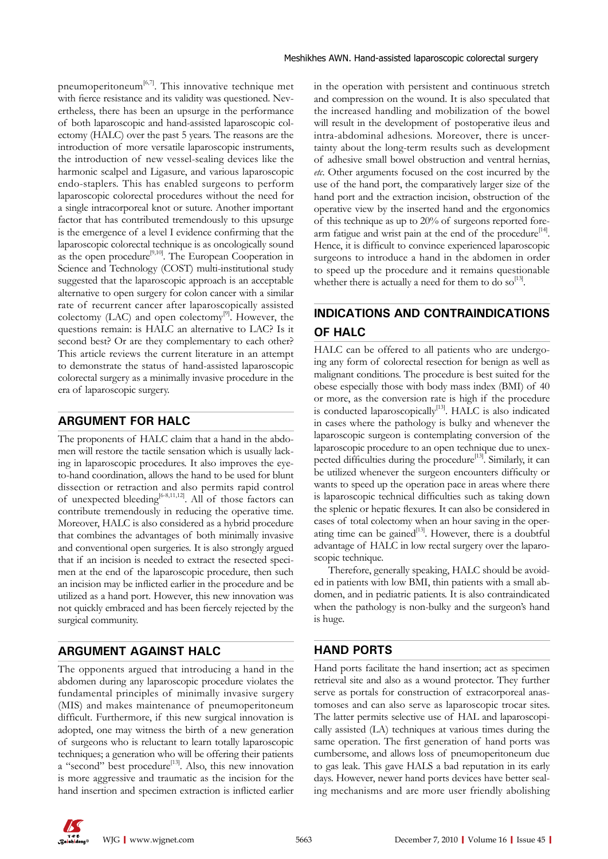pneumoperitoneum $^{[6,7]}$ . This innovative technique met with fierce resistance and its validity was questioned. Nevertheless, there has been an upsurge in the performance of both laparoscopic and hand-assisted laparoscopic colectomy (HALC) over the past 5 years. The reasons are the introduction of more versatile laparoscopic instruments, the introduction of new vessel-sealing devices like the harmonic scalpel and Ligasure, and various laparoscopic endo-staplers. This has enabled surgeons to perform laparoscopic colorectal procedures without the need for a single intracorporeal knot or suture. Another important factor that has contributed tremendously to this upsurge is the emergence of a level I evidence confirming that the laparoscopic colorectal technique is as oncologically sound as the open procedure<sup>[9,10]</sup>. The European Cooperation in Science and Technology (COST) multi-institutional study suggested that the laparoscopic approach is an acceptable alternative to open surgery for colon cancer with a similar rate of recurrent cancer after laparoscopically assisted colectomy (LAC) and open colectomy<sup>[9]</sup>. However, the questions remain: is HALC an alternative to LAC? Is it second best? Or are they complementary to each other? This article reviews the current literature in an attempt to demonstrate the status of hand-assisted laparoscopic colorectal surgery as a minimally invasive procedure in the era of laparoscopic surgery.

#### **ARGUMENT FOR HALC**

The proponents of HALC claim that a hand in the abdomen will restore the tactile sensation which is usually lacking in laparoscopic procedures. It also improves the eyeto-hand coordination, allows the hand to be used for blunt dissection or retraction and also permits rapid control of unexpected bleeding<sup>[6-8,11,12]</sup>. All of those factors can contribute tremendously in reducing the operative time. Moreover, HALC is also considered as a hybrid procedure that combines the advantages of both minimally invasive and conventional open surgeries. It is also strongly argued that if an incision is needed to extract the resected specimen at the end of the laparoscopic procedure, then such an incision may be inflicted earlier in the procedure and be utilized as a hand port. However, this new innovation was not quickly embraced and has been fiercely rejected by the surgical community.

#### **ARGUMENT AGAINST HALC**

The opponents argued that introducing a hand in the abdomen during any laparoscopic procedure violates the fundamental principles of minimally invasive surgery (MIS) and makes maintenance of pneumoperitoneum difficult. Furthermore, if this new surgical innovation is adopted, one may witness the birth of a new generation of surgeons who is reluctant to learn totally laparoscopic techniques; a generation who will be offering their patients  $a$  "second" best procedure<sup>[13]</sup>. Also, this new innovation is more aggressive and traumatic as the incision for the hand insertion and specimen extraction is inflicted earlier in the operation with persistent and continuous stretch and compression on the wound. It is also speculated that the increased handling and mobilization of the bowel will result in the development of postoperative ileus and intra-abdominal adhesions. Moreover, there is uncertainty about the long-term results such as development of adhesive small bowel obstruction and ventral hernias, *etc*. Other arguments focused on the cost incurred by the use of the hand port, the comparatively larger size of the hand port and the extraction incision, obstruction of the operative view by the inserted hand and the ergonomics of this technique as up to 20% of surgeons reported forearm fatigue and wrist pain at the end of the procedure<sup>[14]</sup>. Hence, it is difficult to convince experienced laparoscopic surgeons to introduce a hand in the abdomen in order to speed up the procedure and it remains questionable whether there is actually a need for them to do so<sup>[13]</sup>.

# **INDICATIONS AND CONTRAINDICATIONS OF HALC**

HALC can be offered to all patients who are undergoing any form of colorectal resection for benign as well as malignant conditions. The procedure is best suited for the obese especially those with body mass index (BMI) of 40 or more, as the conversion rate is high if the procedure is conducted laparoscopically<sup>[13]</sup>. HALC is also indicated in cases where the pathology is bulky and whenever the laparoscopic surgeon is contemplating conversion of the laparoscopic procedure to an open technique due to unexpected difficulties during the procedure<sup>[13]</sup>. Similarly, it can be utilized whenever the surgeon encounters difficulty or wants to speed up the operation pace in areas where there is laparoscopic technical difficulties such as taking down the splenic or hepatic flexures. It can also be considered in cases of total colectomy when an hour saving in the operating time can be gained<sup>[13]</sup>. However, there is a doubtful advantage of HALC in low rectal surgery over the laparoscopic technique.

Therefore, generally speaking, HALC should be avoided in patients with low BMI, thin patients with a small abdomen, and in pediatric patients. It is also contraindicated when the pathology is non-bulky and the surgeon's hand is huge.

#### **HAND PORTS**

Hand ports facilitate the hand insertion; act as specimen retrieval site and also as a wound protector. They further serve as portals for construction of extracorporeal anastomoses and can also serve as laparoscopic trocar sites. The latter permits selective use of HAL and laparoscopically assisted (LA) techniques at various times during the same operation. The first generation of hand ports was cumbersome, and allows loss of pneumoperitoneum due to gas leak. This gave HALS a bad reputation in its early days. However, newer hand ports devices have better sealing mechanisms and are more user friendly abolishing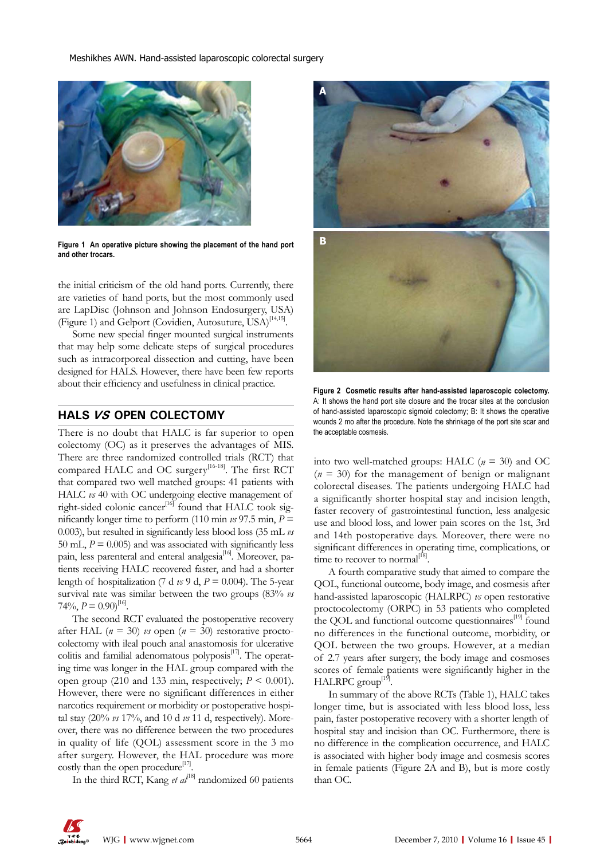Meshikhes AWN. Hand-assisted laparoscopic colorectal surgery



**Figure 1 An operative picture showing the placement of the hand port and other trocars.**

the initial criticism of the old hand ports. Currently, there are varieties of hand ports, but the most commonly used are LapDisc (Johnson and Johnson Endosurgery, USA) (Figure 1) and Gelport (Covidien, Autosuture, USA)<sup>[14,15]</sup>.

Some new special finger mounted surgical instruments that may help some delicate steps of surgical procedures such as intracorporeal dissection and cutting, have been designed for HALS. However, there have been few reports about their efficiency and usefulness in clinical practice.

#### **HALS VS OPEN COLECTOMY**

There is no doubt that HALC is far superior to open colectomy (OC) as it preserves the advantages of MIS. There are three randomized controlled trials (RCT) that compared HALC and OC surgery<sup>[16-18]</sup>. The first RCT that compared two well matched groups: 41 patients with HALC  $\nu s$  40 with OC undergoing elective management of right-sided colonic cancer<sup>[16]</sup> found that  $HALC$  took significantly longer time to perform (110 min  $\nu s$  97.5 min,  $P =$ 0.003), but resulted in significantly less blood loss (35 mL *vs* 50 mL,  $P = 0.005$ ) and was associated with significantly less pain, less parenteral and enteral analgesia<sup>[16]</sup>. Moreover, patients receiving HALC recovered faster, and had a shorter length of hospitalization (7 d  $\nu$  9 d,  $P = 0.004$ ). The 5-year survival rate was similar between the two groups (83% *vs*   $74\%, P = 0.90$ <sup>[16]</sup>.

The second RCT evaluated the postoperative recovery after HAL  $(n = 30)$  *vs* open  $(n = 30)$  restorative proctocolectomy with ileal pouch anal anastomosis for ulcerative colitis and familial adenomatous polyposis $[17]$ . The operating time was longer in the HAL group compared with the open group (210 and 133 min, respectively;  $P \le 0.001$ ). However, there were no significant differences in either narcotics requirement or morbidity or postoperative hospital stay (20% *vs* 17%, and 10 d *vs* 11 d, respectively). Moreover, there was no difference between the two procedures in quality of life (QOL) assessment score in the 3 mo after surgery. However, the HAL procedure was more costly than the open procedure<sup>[17]</sup>.

In the third RCT, Kang *et al*<sup>118]</sup> randomized 60 patients



**Figure 2 Cosmetic results after hand-assisted laparoscopic colectomy.**  A: It shows the hand port site closure and the trocar sites at the conclusion of hand-assisted laparoscopic sigmoid colectomy; B: It shows the operative wounds 2 mo after the procedure. Note the shrinkage of the port site scar and the acceptable cosmesis.

into two well-matched groups: HALC (*n* = 30) and OC  $(n = 30)$  for the management of benign or malignant colorectal diseases. The patients undergoing HALC had a significantly shorter hospital stay and incision length, faster recovery of gastrointestinal function, less analgesic use and blood loss, and lower pain scores on the 1st, 3rd and 14th postoperative days. Moreover, there were no significant differences in operating time, complications, or time to recover to normal $^{[18]}$ .

A fourth comparative study that aimed to compare the QOL, functional outcome, body image, and cosmesis after hand-assisted laparoscopic (HALRPC) *vs* open restorative proctocolectomy (ORPC) in 53 patients who completed the OOL and functional outcome questionnaires<sup>[19]</sup> found no differences in the functional outcome, morbidity, or QOL between the two groups. However, at a median of 2.7 years after surgery, the body image and cosmoses scores of female patients were significantly higher in the  $HALRPC$  group<sup>[1</sup>

In summary of the above RCTs (Table 1), HALC takes longer time, but is associated with less blood loss, less pain, faster postoperative recovery with a shorter length of hospital stay and incision than OC. Furthermore, there is no difference in the complication occurrence, and HALC is associated with higher body image and cosmesis scores in female patients (Figure 2A and B), but is more costly than OC.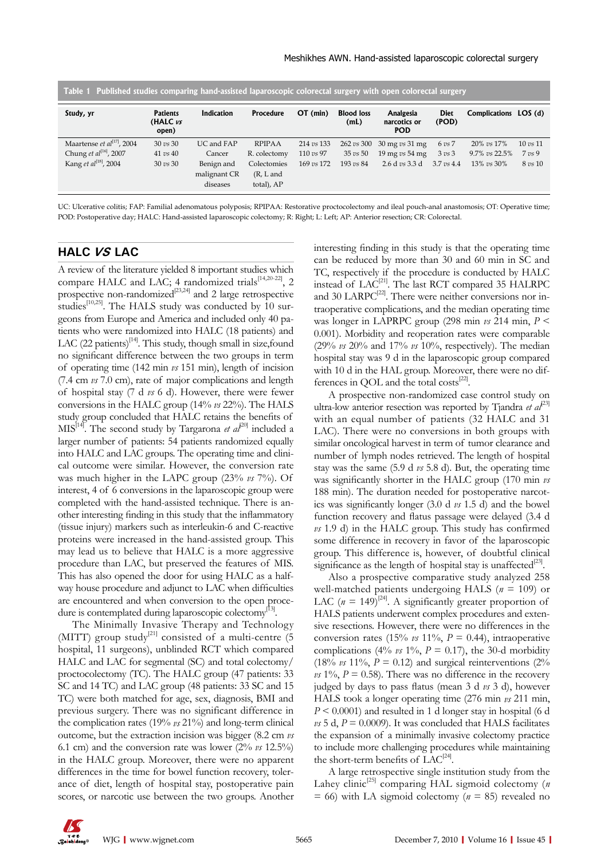| Table 1 Published studies comparing hand-assisted laparoscopic colorectal surgery with open colorectal surgery |                                      |                          |                           |                   |                           |                                         |                             |                       |                     |
|----------------------------------------------------------------------------------------------------------------|--------------------------------------|--------------------------|---------------------------|-------------------|---------------------------|-----------------------------------------|-----------------------------|-----------------------|---------------------|
| Study, yr                                                                                                      | <b>Patients</b><br>(HALC vs<br>open) | Indication               | <b>Procedure</b>          | $OT$ (min)        | <b>Blood loss</b><br>(mL) | Analgesia<br>narcotics or<br><b>POD</b> | Diet<br>(POD)               | Complications LOS (d) |                     |
| Maartense et $al^{[17]}$ , 2004                                                                                | $30 \text{ vs } 30$                  | UC and FAP               | <b>RPIPAA</b>             | 214 <i>vs</i> 133 | 262 vs 300                | $30 \text{ mg } vs \, 31 \text{ mg}$    | $6 \text{ vs } 7$           | 20% vs 17%            | $10 \text{ vs } 11$ |
| Chung <i>et al</i> <sup>[16]</sup> , 2007                                                                      | $41 \text{ } vs \text{ } 40$         | Cancer                   | R. colectomy              | 110 vs 97         | $35 \text{ vs } 50$       | 19 mg $vs$ 54 mg                        | $3 \text{ } v s \text{ } 3$ | 9.7% vs 22.5%         | $7 \text{ vs } 9$   |
| Kang <i>et al</i> <sup>[18]</sup> , 2004                                                                       | $30 \text{ vs } 30$                  | Benign and               | Colectomies               | 169 vs 172        | $193 \text{ vs } 84$      | 2.6 d $vs$ 3.3 d                        | $3.7 \text{ vs } 4.4$       | $13\%$ vs $30\%$      | 8 vs 10             |
|                                                                                                                |                                      | malignant CR<br>diseases | $(R, L$ and<br>total), AP |                   |                           |                                         |                             |                       |                     |
|                                                                                                                |                                      |                          |                           |                   |                           |                                         |                             |                       |                     |

UC: Ulcerative colitis; FAP: Familial adenomatous polyposis; RPIPAA: Restorative proctocolectomy and ileal pouch-anal anastomosis; OT: Operative time; POD: Postoperative day; HALC: Hand-assisted laparoscopic colectomy; R: Right; L: Left; AP: Anterior resection; CR: Colorectal.

#### **HALC VS LAC**

A review of the literature yielded 8 important studies which compare HALC and LAC; 4 randomized trials<sup>[14,20-22]</sup>, 2 prospective non-randomized $[23,24]$  and 2 large retrospective studies<sup>[10,25]</sup>. The HALS study was conducted by 10 surgeons from Europe and America and included only 40 patients who were randomized into HALC (18 patients) and LAC (22 patients)<sup>[14]</sup>. This study, though small in size, found no significant difference between the two groups in term of operating time (142 min *vs* 151 min), length of incision (7.4 cm *vs* 7.0 cm), rate of major complications and length of hospital stay (7 d *vs* 6 d). However, there were fewer conversions in the HALC group (14% *vs* 22%). The HALS study group concluded that HALC retains the benefits of  $MIS^{[14]}$ . The second study by Targarona *et al*<sup>[20]</sup> included a larger number of patients: 54 patients randomized equally into HALC and LAC groups. The operating time and clinical outcome were similar. However, the conversion rate was much higher in the LAPC group (23% *vs* 7%). Of interest, 4 of 6 conversions in the laparoscopic group were completed with the hand-assisted technique. There is another interesting finding in this study that the inflammatory (tissue injury) markers such as interleukin-6 and C-reactive proteins were increased in the hand-assisted group. This may lead us to believe that HALC is a more aggressive procedure than LAC, but preserved the features of MIS. This has also opened the door for using HALC as a halfway house procedure and adjunct to LAC when difficulties are encountered and when conversion to the open procedure is contemplated during laparoscopic colectomy<sup>[13]</sup>.

The Minimally Invasive Therapy and Technology (MITT) group study<sup>[21]</sup> consisted of a multi-centre (5) hospital, 11 surgeons), unblinded RCT which compared HALC and LAC for segmental (SC) and total colectomy/ proctocolectomy (TC). The HALC group (47 patients: 33 SC and 14 TC) and LAC group (48 patients: 33 SC and 15 TC) were both matched for age, sex, diagnosis, BMI and previous surgery. There was no significant difference in the complication rates (19% *vs* 21%) and long-term clinical outcome, but the extraction incision was bigger (8.2 cm *vs*  6.1 cm) and the conversion rate was lower (2% *vs* 12.5%) in the HALC group. Moreover, there were no apparent differences in the time for bowel function recovery, tolerance of diet, length of hospital stay, postoperative pain scores, or narcotic use between the two groups. Another interesting finding in this study is that the operating time can be reduced by more than 30 and 60 min in SC and TC, respectively if the procedure is conducted by HALC instead of LAC<sup>[21]</sup>. The last RCT compared 35 HALRPC and 30 LARPC $^{[22]}$ . There were neither conversions nor intraoperative complications, and the median operating time was longer in LAPRPC group (298 min *vs* 214 min, *P* < 0.001). Morbidity and reoperation rates were comparable (29% *vs* 20% and 17% *vs* 10%, respectively). The median hospital stay was 9 d in the laparoscopic group compared with 10 d in the HAL group. Moreover, there were no differences in QOL and the total costs<sup>[22]</sup>.

A prospective non-randomized case control study on ultra-low anterior resection was reported by Tjandra  $et al^{[23]}$ with an equal number of patients (32 HALC and 31 LAC). There were no conversions in both groups with similar oncological harvest in term of tumor clearance and number of lymph nodes retrieved. The length of hospital stay was the same (5.9 d *vs* 5.8 d). But, the operating time was significantly shorter in the HALC group (170 min *vs*  188 min). The duration needed for postoperative narcotics was significantly longer (3.0 d *vs* 1.5 d) and the bowel function recovery and flatus passage were delayed (3.4 d *vs* 1.9 d) in the HALC group. This study has confirmed some difference in recovery in favor of the laparoscopic group. This difference is, however, of doubtful clinical significance as the length of hospital stay is unaffected $^{[23]}$ .

Also a prospective comparative study analyzed 258 well-matched patients undergoing HALS (*n* = 109) or LAC  $(n = 149)^{24}$ . A significantly greater proportion of HALS patients underwent complex procedures and extensive resections. However, there were no differences in the conversion rates (15%  $\nu s$  11%,  $P = 0.44$ ), intraoperative complications (4%  $\nu s$  1%,  $P = 0.17$ ), the 30-d morbidity (18%  $\nu s$  11%,  $P = 0.12$ ) and surgical reinterventions (2%)  $\nu$  *vs* 1%,  $P = 0.58$ . There was no difference in the recovery judged by days to pass flatus (mean 3 d *vs* 3 d), however HALS took a longer operating time (276 min *vs* 211 min, *P* < 0.0001) and resulted in 1 d longer stay in hospital (6 d  $\nu s$  5 d,  $P = 0.0009$ ). It was concluded that HALS facilitates the expansion of a minimally invasive colectomy practice to include more challenging procedures while maintaining the short-term benefits of  $LAC^{[24]}$ .

A large retrospective single institution study from the Lahey clinic<sup>[25]</sup> comparing HAL sigmoid colectomy (*n*)  $= 66$ ) with LA sigmoid colectomy ( $n = 85$ ) revealed no

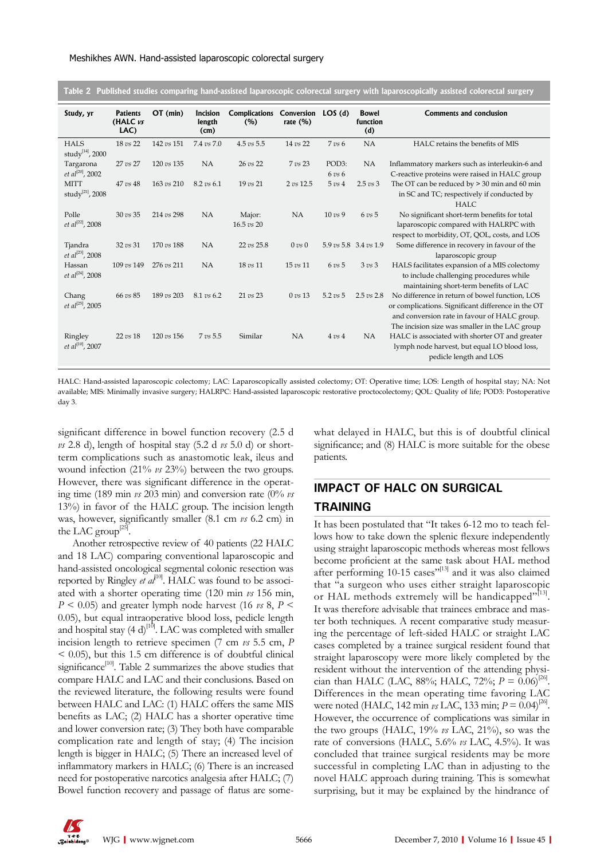|  | Table 2 Published studies comparing hand-assisted laparoscopic colorectal surgery with laparoscopically assisted colorectal surgery |  |  |  |
|--|-------------------------------------------------------------------------------------------------------------------------------------|--|--|--|
|  |                                                                                                                                     |  |  |  |

| Study, yr                                    | <b>Patients</b><br>(HALC vs<br>LAC) | $OT$ (min)            | Incision<br>length<br>(cm) | <b>Complications</b><br>(%)     | Conversion<br>rate $(\% )$   | LOS(d)                     | <b>Bowel</b><br>function<br>(d) | <b>Comments and conclusion</b>                                                                                                                                                                         |
|----------------------------------------------|-------------------------------------|-----------------------|----------------------------|---------------------------------|------------------------------|----------------------------|---------------------------------|--------------------------------------------------------------------------------------------------------------------------------------------------------------------------------------------------------|
| <b>HALS</b><br>study <sup>[14]</sup> , 2000  | 18 vs 22                            | 142 vs 151            | 7.4 vs 7.0                 | $4.5 \text{ vs } 5.5$           | 14 vs 22                     | $7 \text{ vs } 6$          | NA                              | HALC retains the benefits of MIS                                                                                                                                                                       |
| Targarona<br>et al <sup>[20]</sup> , 2002    | 27 vs 27                            | 120 vs 135            | <b>NA</b>                  | 26 vs 22                        | 7 vs 23                      | POD3:<br>$6 \text{ vs } 6$ | <b>NA</b>                       | Inflammatory markers such as interleukin-6 and<br>C-reactive proteins were raised in HALC group                                                                                                        |
| <b>MITT</b><br>study <sup>[21]</sup> , 2008  | $47 \text{ vs } 48$                 | $163 \text{ vs } 210$ | $8.2 \, vs \, 6.1$         | $19 \text{ vs } 21$             | 2 vs 12.5                    | $5 \text{ } v s 4$         | $2.5 \text{ vs } 3$             | The OT can be reduced by $>$ 30 min and 60 min<br>in SC and TC; respectively if conducted by<br><b>HALC</b>                                                                                            |
| Polle<br>et al <sup>[22]</sup> , 2008        | $30 \text{ vs } 35$                 | 214 vs 298            | NA                         | Major:<br>$16.5 \text{ vs } 20$ | <b>NA</b>                    | $10 \text{ vs } 9$         | $6 \text{ vs } 5$               | No significant short-term benefits for total<br>laparoscopic compared with HALRPC with<br>respect to morbidity, OT, QOL, costs, and LOS                                                                |
| Tjandra<br>et al <sup>[23]</sup> , 2008      | 32 vs 31                            | 170 vs 188            | NA                         | 22 vs 25.8                      | $0 \text{ } v s \text{ } 0$  |                            | 5.9 vs 5.8 3.4 vs 1.9           | Some difference in recovery in favour of the<br>laparoscopic group                                                                                                                                     |
| Hassan<br>et al <sup>[24]</sup> , 2008       | 109 vs 149                          | $276 \text{ vs } 211$ | NA                         | 18 vs 11                        | $15 \text{ vs } 11$          | $6 \text{ vs } 5$          | $3 \text{ vs } 3$               | HALS facilitates expansion of a MIS colectomy<br>to include challenging procedures while<br>maintaining short-term benefits of LAC                                                                     |
| Chang<br><i>et al</i> <sup>[25]</sup> , 2005 | 66 vs 85                            | 189 vs 203            | $8.1 \text{ vs } 6.2$      | 21 vs 23                        | $0 \text{ } v s \text{ } 13$ | $5.2 \text{ vs } 5$        | $2.5 \text{ vs } 2.8$           | No difference in return of bowel function, LOS<br>or complications. Significant difference in the OT<br>and conversion rate in favour of HALC group.<br>The incision size was smaller in the LAC group |
| Ringley<br>$et$ al <sup>[10]</sup> , 2007    | $22 \text{ vs } 18$                 | 120 vs 156            | $7 \text{ vs } 5.5$        | Similar                         | NA                           | $4 \text{ } v s 4$         | <b>NA</b>                       | HALC is associated with shorter OT and greater<br>lymph node harvest, but equal I.O blood loss,<br>pedicle length and LOS                                                                              |

HALC: Hand-assisted laparoscopic colectomy; LAC: Laparoscopically assisted colectomy; OT: Operative time; LOS: Length of hospital stay; NA: Not available; MIS: Minimally invasive surgery; HALRPC: Hand-assisted laparoscopic restorative proctocolectomy; QOL: Quality of life; POD3: Postoperative day 3.

significant difference in bowel function recovery (2.5 d *vs* 2.8 d), length of hospital stay (5.2 d *vs* 5.0 d) or shortterm complications such as anastomotic leak, ileus and wound infection (21% *vs* 23%) between the two groups. However, there was significant difference in the operating time (189 min *vs* 203 min) and conversion rate (0% *vs*  13%) in favor of the HALC group. The incision length was, however, significantly smaller (8.1 cm *vs* 6.2 cm) in the LAC group<sup> $[25]$ </sup>.

Another retrospective review of 40 patients (22 HALC and 18 LAC) comparing conventional laparoscopic and hand-assisted oncological segmental colonic resection was reported by Ringley *et al*<sup>[10]</sup>. HALC was found to be associated with a shorter operating time (120 min *vs* 156 min,  $P$  < 0.05) and greater lymph node harvest (16  $\nu$ s 8,  $P$  < 0.05), but equal intraoperative blood loss, pedicle length and hospital stay  $(4 \text{ d})^{[10]}$ . LAC was completed with smaller incision length to retrieve specimen (7 cm *vs* 5.5 cm, *P*   $<$  0.05), but this 1.5 cm difference is of doubtful clinical significance<sup>[10]</sup>. Table 2 summarizes the above studies that compare HALC and LAC and their conclusions. Based on the reviewed literature, the following results were found between HALC and LAC: (1) HALC offers the same MIS benefits as LAC; (2) HALC has a shorter operative time and lower conversion rate; (3) They both have comparable complication rate and length of stay; (4) The incision length is bigger in HALC; (5) There an increased level of inflammatory markers in HALC; (6) There is an increased need for postoperative narcotics analgesia after HALC; (7) Bowel function recovery and passage of flatus are somewhat delayed in HALC, but this is of doubtful clinical significance; and (8) HALC is more suitable for the obese patients.

## **IMPACT OF HALC ON SURGICAL TRAINING**

It has been postulated that "It takes 6-12 mo to teach fellows how to take down the splenic flexure independently using straight laparoscopic methods whereas most fellows become proficient at the same task about HAL method after performing  $10-15$  cases"<sup>[13]</sup> and it was also claimed that "a surgeon who uses either straight laparoscopic or HAL methods extremely will be handicapped"<sup>[13]</sup>. It was therefore advisable that trainees embrace and master both techniques. A recent comparative study measuring the percentage of left-sided HALC or straight LAC cases completed by a trainee surgical resident found that straight laparoscopy were more likely completed by the resident without the intervention of the attending physician than HALC (LAC, 88%; HALC, 72%;  $P = 0.06$ <sup>[26]</sup>. Differences in the mean operating time favoring LAC were noted (HALC, 142 min *vs* LAC, 133 min;  $P = 0.04$ <sup>[26]</sup>. However, the occurrence of complications was similar in the two groups (HALC, 19% *vs* LAC, 21%), so was the rate of conversions (HALC, 5.6% *vs* LAC, 4.5%). It was concluded that trainee surgical residents may be more successful in completing LAC than in adjusting to the novel HALC approach during training. This is somewhat surprising, but it may be explained by the hindrance of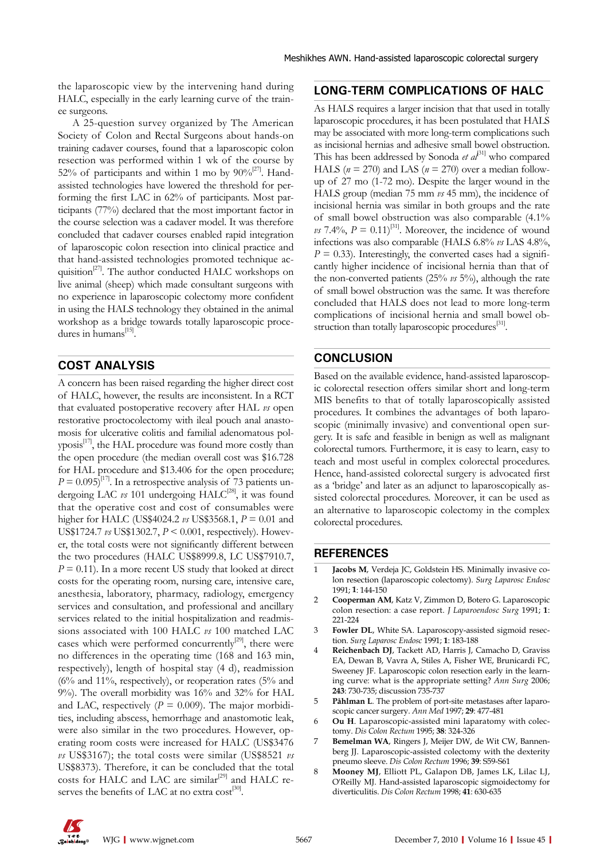the laparoscopic view by the intervening hand during HALC, especially in the early learning curve of the trainee surgeons.

A 25-question survey organized by The American Society of Colon and Rectal Surgeons about hands-on training cadaver courses, found that a laparoscopic colon resection was performed within 1 wk of the course by 52% of participants and within 1 mo by  $90\%^{[27]}$ . Handassisted technologies have lowered the threshold for performing the first LAC in 62% of participants. Most participants (77%) declared that the most important factor in the course selection was a cadaver model. It was therefore concluded that cadaver courses enabled rapid integration of laparoscopic colon resection into clinical practice and that hand-assisted technologies promoted technique acquisition $2^{27}$ . The author conducted HALC workshops on live animal (sheep) which made consultant surgeons with no experience in laparoscopic colectomy more confident in using the HALS technology they obtained in the animal workshop as a bridge towards totally laparoscopic procedures in humans $^{[15]}$ .

#### **COST ANALYSIS**

A concern has been raised regarding the higher direct cost of HALC, however, the results are inconsistent. In a RCT that evaluated postoperative recovery after HAL *vs* open restorative proctocolectomy with ileal pouch anal anastomosis for ulcerative colitis and familial adenomatous pol $y$ posis $^{[17]}$ , the HAL procedure was found more costly than the open procedure (the median overall cost was \$16.728 for HAL procedure and \$13.406 for the open procedure;  $P = 0.095$ <sup>[17]</sup>. In a retrospective analysis of 73 patients undergoing LAC  $\nu s$  101 undergoing HALC<sup>[28]</sup>, it was found that the operative cost and cost of consumables were higher for HALC (US\$4024.2 *vs* US\$3568.1, *P* = 0.01 and US\$1724.7 *vs* US\$1302.7, *P* < 0.001, respectively). However, the total costs were not significantly different between the two procedures (HALC US\$8999.8, LC US\$7910.7,  $P = 0.11$ ). In a more recent US study that looked at direct costs for the operating room, nursing care, intensive care, anesthesia, laboratory, pharmacy, radiology, emergency services and consultation, and professional and ancillary services related to the initial hospitalization and readmissions associated with 100 HALC *vs* 100 matched LAC cases which were performed concurrently<sup>[29]</sup>, there were no differences in the operating time (168 and 163 min, respectively), length of hospital stay (4 d), readmission  $(6\%$  and 11%, respectively), or reoperation rates  $(5\%$  and 9%). The overall morbidity was 16% and 32% for HAL and LAC, respectively  $(P = 0.009)$ . The major morbidities, including abscess, hemorrhage and anastomotic leak, were also similar in the two procedures. However, operating room costs were increased for HALC (US\$3476 *vs* US\$3167); the total costs were similar (US\$8521 *vs*  US\$8373). Therefore, it can be concluded that the total costs for HALC and LAC are similar<sup>[29]</sup> and HALC reserves the benefits of LAC at no extra  $cost^{[30]}$ .

#### **LONG-TERM COMPLICATIONS OF HALC**

As HALS requires a larger incision that that used in totally laparoscopic procedures, it has been postulated that HALS may be associated with more long-term complications such as incisional hernias and adhesive small bowel obstruction. This has been addressed by Sonoda *et al*<sup>[31]</sup> who compared HALS ( $n = 270$ ) and LAS ( $n = 270$ ) over a median followup of 27 mo (1-72 mo). Despite the larger wound in the HALS group (median 75 mm *vs* 45 mm), the incidence of incisional hernia was similar in both groups and the rate of small bowel obstruction was also comparable (4.1% *vs* 7.4%,  $P = 0.11$ <sup>[31]</sup>. Moreover, the incidence of wound infections was also comparable (HALS 6.8% *vs* LAS 4.8%,  $P = 0.33$ ). Interestingly, the converted cases had a significantly higher incidence of incisional hernia than that of the non-converted patients (25% *vs* 5%), although the rate of small bowel obstruction was the same. It was therefore concluded that HALS does not lead to more long-term complications of incisional hernia and small bowel obstruction than totally laparoscopic procedures<sup>[31]</sup>.

### **CONCLUSION**

Based on the available evidence, hand-assisted laparoscopic colorectal resection offers similar short and long-term MIS benefits to that of totally laparoscopically assisted procedures. It combines the advantages of both laparoscopic (minimally invasive) and conventional open surgery. It is safe and feasible in benign as well as malignant colorectal tumors. Furthermore, it is easy to learn, easy to teach and most useful in complex colorectal procedures. Hence, hand-assisted colorectal surgery is advocated first as a 'bridge' and later as an adjunct to laparoscopically assisted colorectal procedures. Moreover, it can be used as an alternative to laparoscopic colectomy in the complex colorectal procedures.

#### **REFERENCES**

- 1 **Jacobs M**, Verdeja JC, Goldstein HS. Minimally invasive colon resection (laparoscopic colectomy). *Surg Laparosc Endosc* 1991; **1**: 144-150
- 2 **Cooperman AM**, Katz V, Zimmon D, Botero G. Laparoscopic colon resection: a case report. *J Laparoendosc Surg* 1991; **1**: 221-224
- 3 **Fowler DL**, White SA. Laparoscopy-assisted sigmoid resection. *Surg Laparosc Endosc* 1991; **1**: 183-188
- 4 **Reichenbach DJ**, Tackett AD, Harris J, Camacho D, Graviss EA, Dewan B, Vavra A, Stiles A, Fisher WE, Brunicardi FC, Sweeney JF. Laparoscopic colon resection early in the learning curve: what is the appropriate setting? *Ann Surg* 2006; **243**: 730-735; discussion 735-737
- 5 **Påhlman L**. The problem of port-site metastases after laparoscopic cancer surgery. *Ann Med* 1997; **29**: 477-481
- 6 **Ou H**. Laparoscopic-assisted mini laparatomy with colectomy. *Dis Colon Rectum* 1995; **38**: 324-326
- 7 **Bemelman WA**, Ringers J, Meijer DW, de Wit CW, Bannenberg JJ. Laparoscopic-assisted colectomy with the dexterity pneumo sleeve. *Dis Colon Rectum* 1996; **39**: S59-S61
- 8 **Mooney MJ**, Elliott PL, Galapon DB, James LK, Lilac LJ, O'Reilly MJ. Hand-assisted laparoscopic sigmoidectomy for diverticulitis. *Dis Colon Rectum* 1998; **41**: 630-635